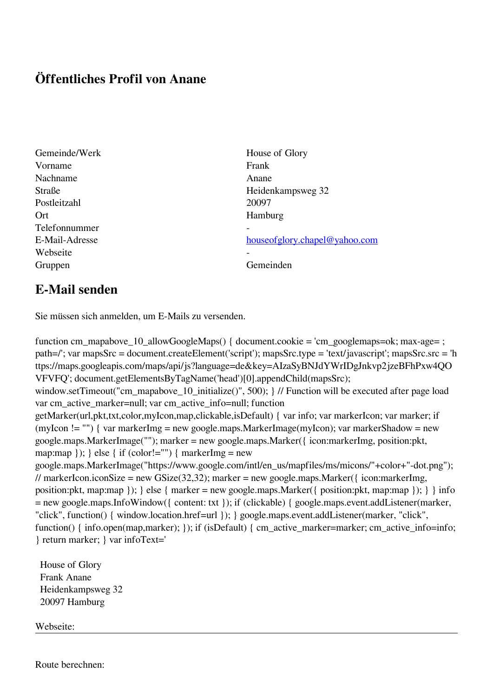## **Öffentliches Profil von Anane**

- Gemeinde/Werk House of Glory Vorname Frank Nachname **Anane** Postleitzahl 20097 Ort Hamburg Telefonnummer - Webseite Gruppen Gemeinden Gemeinden Gemeinden Gemeinden Gemeinden Gemeinden Gemeinden Gemeinden Gemeinden Gemeinden G
- Straße Heidenkampsweg 32 E-Mail-Adresse [houseofglory.chapel@yahoo.com](mailto:houseofglory.chapel@yahoo.com)

## **E-Mail senden**

Sie müssen sich anmelden, um E-Mails zu versenden.

function cm\_mapabove\_10\_allowGoogleMaps() { document.cookie = 'cm\_googlemaps=ok; max-age= ; path=/'; var mapsSrc = document.createElement('script'); mapsSrc.type = 'text/javascript'; mapsSrc.src = 'h ttps://maps.googleapis.com/maps/api/js?language=de&key=AIzaSyBNJdYWrIDgJnkvp2jzeBFhPxw4QO VFVFQ'; document.getElementsByTagName('head')[0].appendChild(mapsSrc); window.setTimeout("cm\_mapabove\_10\_initialize()", 500); } // Function will be executed after page load var cm\_active\_marker=null; var cm\_active\_info=null; function getMarker(url,pkt,txt,color,myIcon,map,clickable,isDefault) { var info; var markerIcon; var marker; if (myIcon != "") { var markerImg = new google.maps.MarkerImage(myIcon); var markerShadow = new google.maps.MarkerImage(""); marker = new google.maps.Marker({ icon:markerImg, position:pkt, map:map  $\}$ ;  $\}$  else  $\{$  if (color!="")  $\{$  markerImg = new google.maps.MarkerImage("https://www.google.com/intl/en\_us/mapfiles/ms/micons/"+color+"-dot.png"); // markerIcon.iconSize = new GSize(32,32); marker = new google.maps.Marker({ $i$ con:markerImg, position:pkt, map:map }); } else { marker = new google.maps.Marker({ position:pkt, map:map }); } } info = new google.maps.InfoWindow({ content: txt }); if (clickable) { google.maps.event.addListener(marker, "click", function() { window.location.href=url }); } google.maps.event.addListener(marker, "click", function() { info.open(map,marker); }); if (isDefault) { cm\_active\_marker=marker; cm\_active\_info=info; } return marker; } var infoText='

 House of Glory Frank Anane Heidenkampsweg 32 20097 Hamburg

Webseite:

Route berechnen: